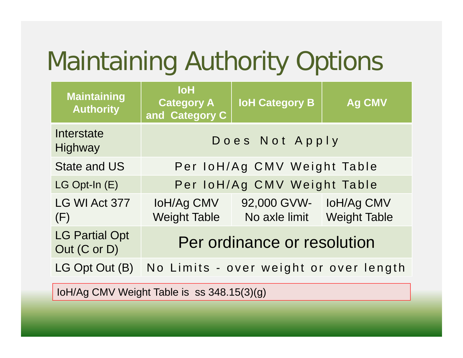## Maintaining Authority Options

| <b>Maintaining</b><br><b>Authority</b>                   | <b>IoH</b><br><b>Category A</b><br>and Category C | <b>IoH Category B</b>                                                        | <b>Ag CMV</b> |  |  |
|----------------------------------------------------------|---------------------------------------------------|------------------------------------------------------------------------------|---------------|--|--|
| Interstate<br>Highway                                    | Does Not Apply                                    |                                                                              |               |  |  |
| <b>State and US</b>                                      | Per IoH/Ag CMV Weight Table                       |                                                                              |               |  |  |
| LG Opt-In (E)                                            | Per IoH/Ag CMV Weight Table                       |                                                                              |               |  |  |
| LG WI Act 377<br>(F)                                     |                                                   | IoH/Ag CMV 92,000 GVW- IoH/Ag CMV<br>Weight Table No axle limit Weight Table |               |  |  |
| <b>LG Partial Opt</b><br>Out (C or D)                    | Per ordinance or resolution                       |                                                                              |               |  |  |
| LG Opt Out (B)<br>No Limits - over weight or over length |                                                   |                                                                              |               |  |  |
| loH/Ag CMV Weight Table is ss 348.15(3)(g)               |                                                   |                                                                              |               |  |  |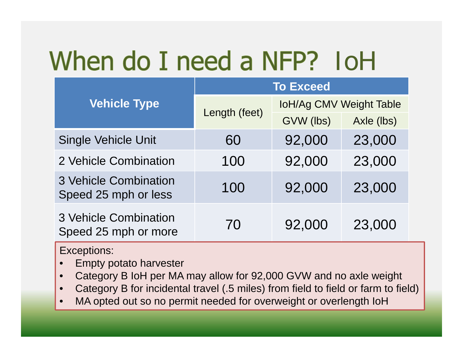## IoH

|                                                      | <b>To Exceed</b> |                         |            |  |
|------------------------------------------------------|------------------|-------------------------|------------|--|
| <b>Vehicle Type</b>                                  | Length (feet)    | IoH/Ag CMV Weight Table |            |  |
|                                                      |                  | GVW (lbs)               | Axle (lbs) |  |
| <b>Single Vehicle Unit</b>                           | 60               | 92,000                  | 23,000     |  |
| 2 Vehicle Combination                                | 100              | 92,000                  | 23,000     |  |
| <b>3 Vehicle Combination</b><br>Speed 25 mph or less | 100              | 92,000                  | 23,000     |  |
| <b>3 Vehicle Combination</b><br>Speed 25 mph or more | 70               | 92,000                  | 23,000     |  |

Exceptions:

- •Empty potato harvester
- •Category B IoH per MA may allow for 92,000 GVW and no axle weight
- •Category B for incidental travel (.5 miles) from field to field or farm to field)
- •MA opted out so no permit needed for overweight or overlength IoH